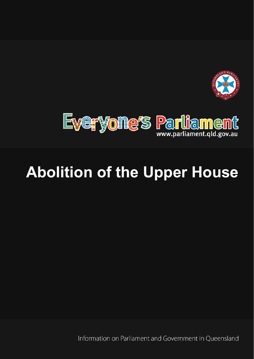



# **Abolition of the Upper House**

Information on Parliament and Government in Oueensland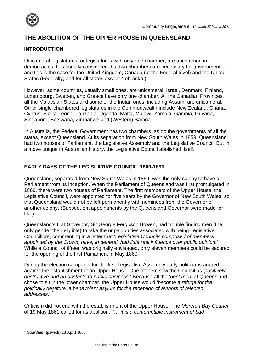

# **THE ABOLITION OF THE UPPER HOUSE IN QUEENSLAND**

# **INTRODUCTION**

Unicameral legislatures, or legislatures with only one chamber, are uncommon in democracies. It is usually considered that two chambers are necessary for government, and this is the case for the United Kingdom, Canada (at the Federal level) and the United States (Federally, and for all states except Nebraska.)

However, some countries, usually small ones, are unicameral. Israel, Denmark, Finland, Luxembourg, Sweden, and Greece have only one chamber. All the Canadian Provinces, all the Malaysian States and some of the Indian ones, including Assam, are unicameral. Other single-chambered legislatures in the Commonwealth include New Zealand, Ghana, Cyprus, Sierra Leone, Tanzania, Uganda, Malta, Malawi, Zambia, Gambia, Guyana, Singapore, Botswana, Zimbabwe and (Western) Samoa.

In Australia, the Federal Government has two chambers, as do the governments of all the states, except Queensland. At its separation from New South Wales in 1859, Queensland had two houses of Parliament, the Legislative Assembly and the Legislative Council. But in a move unique in Australian history, the Legislative Council abolished itself.

## **EARLY DAYS OF THE LEGISLATIVE COUNCIL, 1860-1890**

Queensland, separated from New South Wales in 1859, was the only colony to have a Parliament from its inception. When the Parliament of Queensland was first promulgated in 1860, there were two houses of Parliament. The first members of the Upper House, the Legislative Council, were appointed for five years by the Governor of New South Wales, so that Queensland would not be left permanently with nominees from the Governor of another colony. (Subsequent appointments by the Queensland Governor were made for life.)

Queensland's first Governor, Sir George Ferguson Bowen, had trouble finding men (the only gender then eligible) to take the unpaid duties associated with being Legislative Councillors, commenting in a letter that '*Legislative Councils composed of members appointed by the Crown, have, in general, had little real influence over public opinion.*' While a Council of fifteen was originally envisaged, only eleven members could be secured for the opening of the first Parliament in May 1860.

During the election campaign for the first Legislative Assembly early politicians argued against the establishment of an Upper House. One of them saw the Council as '*positively obstructive and an obstacle to public business*.' Because all the '*best men*' of Queensland chose to sit in the lower chamber, the Upper House would '*become a refuge for the politically destitute, a benevolent asylum for the reception of authors of rejected addresses*.' [1](#page-1-0)

Criticism did not end with the establishment of the Upper House. The *Moreton Bay Courier*  of 19 May 1861 called for its abolition: *'… it is a contemptible instrument of bad* 

<span id="page-1-0"></span> $\overline{a}$ <sup>1</sup> Guardian (Ipswich) 28 April 1860.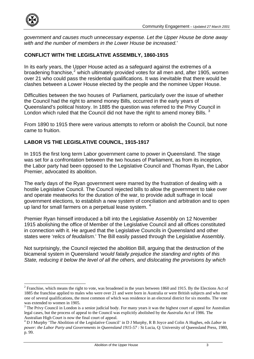

 $\overline{a}$ 

*government and causes much unnecessary expense. Let the Upper House be done away with and the number of members in the Lower House be increased.*'

#### **CONFLICT WITH THE LEGISLATIVE ASSEMBLY, 1860-1915**

In its early years, the Upper House acted as a safeguard against the extremes of a broadening franchise,<sup>[2](#page-2-0)</sup> which ultimately provided votes for all men and, after 1905, women over 21 who could pass the residential qualifications. It was inevitable that there would be clashes between a Lower House elected by the people and the nominee Upper House.

Difficulties between the two houses of Parliament, particularly over the issue of whether the Council had the right to amend money Bills, occurred in the early years of Queensland's political history. In 1885 the question was referred to the Privy Council in London which ruled that the Council did not have the right to amend money Bills.<sup>[3](#page-2-1)</sup>

From 1890 to 1915 there were various attempts to reform or abolish the Council, but none came to fruition.

## **LABOR VS THE LEGISLATIVE COUNCIL, 1915-1917**

In 1915 the first long term Labor government came to power in Queensland. The stage was set for a confrontation between the two houses of Parliament, as from its inception, the Labor party had been opposed to the Legislative Council and Thomas Ryan, the Labor Premier, advocated its abolition.

The early days of the Ryan government were marred by the frustration of dealing with a hostile Legislative Council. The Council rejected bills to allow the government to take over and operate meatworks for the duration of the war, to provide adult suffrage in local government elections, to establish a new system of conciliation and arbitration and to open up land for small farmers on a perpetual lease system.  $4$ 

Premier Ryan himself introduced a bill into the Legislative Assembly on 12 November 1915 abolishing the office of Member of the Legislative Council and all offices constituted in connection with it. He argued that the Legislative Councils in Queensland and other states were '*relics of feudalism*.' The Bill easily passed through the Legislative Assembly.

Not surprisingly, the Council rejected the abolition Bill, arguing that the destruction of the bicameral system in Queensland '*would fatally prejudice the standing and rights of this State, reducing it below the level of all the others, and dislocating the provisions by which* 

<span id="page-2-0"></span> $2^2$  Franchise, which means the right to vote, was broadened in the years between 1860 and 1915. By the Elections Act of 1885 the franchise applied to males who were over 21 and were born in Australia or were British subjects and who met one of several qualifications, the most common of which was residence in an electoral district for six months. The vote was extended to women in 1905.

<span id="page-2-1"></span> $3$  The Privy Council in London is a senior judicial body. For many years it was the highest court of appeal for Australian legal cases, but the process of appeal to the Council was explicitly abolished by the *Australia Act* of 1986. The Australian High Court is now the final court of appeal.

<span id="page-2-2"></span><sup>4</sup> D J Murphy 'The Abolition of the Legislative Council' in D J Murphy, R B Joyce and Colin A Hughes, eds *Labor in power: the Labor Party and Governments in Queensland 1915-57 : St Lucia, Q: University of Queensland Press, 1980,* p. 99.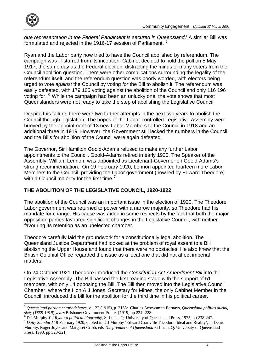

 $\overline{a}$ 

*due representation in the Federal Parliament is secured in Queensland*.' A similar Bill was formulated and rejected in the 1916-17 session of Parliament.<sup>[5](#page-3-0)</sup>

Ryan and the Labor party now tried to have the Council abolished by referendum. The campaign was ill-starred from its inception. Cabinet decided to hold the poll on 5 May 1917, the same day as the Federal election, distracting the minds of many voters from the Council abolition question. There were other complications surrounding the legality of the referendum itself, and the referendum question was poorly worded, with electors being urged to vote *against* the Council by voting *for* the Bill to abolish it. The referendum was easily defeated, with 179 105 voting against the abolition of the Council and only 116 196 voting for. <sup>[6](#page-3-1)</sup> While the campaign had been an unlucky one, the vote shows that most Queenslanders were not ready to take the step of abolishing the Legislative Council.

Despite this failure, there were two further attempts in the next two years to abolish the Council through legislation. The hopes of the Labor-controlled Legislative Assembly were buoyed by the appointment of 13 new Labor Members to the Council in 1918 and an additional three in 1919. However, the Government still lacked the numbers in the Council and the Bills for abolition of the Council were again defeated.

The Governor, Sir Hamilton Goold-Adams refused to make any further Labor appointments to the Council. Goold-Adams retired in early 1920. The Speaker of the Assembly, William Lennon, was appointed as Lieutenant-Governor on Goold-Adams's strong recommendation. On 19 February 1920, Lennon appointed fourteen more Labor Members to the Council, providing the Labor government (now led by Edward Theodore) with a Council majority for the first time.<sup>[7](#page-3-2)</sup>

#### **THE ABOLITION OF THE LEGISLATIVE COUNCIL, 1920-1922**

The abolition of the Council was an important issue in the election of 1920. The Theodore Labor government was returned to power with a narrow majority, so Theodore had his mandate for change. His cause was aided in some respects by the fact that both the major opposition parties favoured significant changes in the Legislative Council, with neither favouring its retention as an unelected chamber.

Theodore carefully laid the groundwork for a constitutionally legal abolition. The Queensland Justice Department had looked at the problem of royal assent to a Bill abolishing the Upper House and found that there were no obstacles. He also knew that the British Colonial Office regarded the issue as a local one that did not affect imperial matters.

On 24 October 1921 Theodore introduced the *Constitution Act Amendment Bill* into the Legislative Assembly. The Bill passed the first reading stage with the support of 51 members, with only 14 opposing the Bill. The Bill then moved into the Legislative Council Chamber, where the Hon A J Jones, Secretary for Mines, the only Cabinet Member in the Council, introduced the bill for the abolition for the third time in his political career.

<span id="page-3-0"></span><sup>5</sup> *Queensland parliamentary debates,* v. 122 (1915), p. 2163: Charles Arrowsmith Bernays, *Queensland politics during sixty (1859-1919*) *years* Brisbane: Government Printer [1919] pp 224- 228: 6

<span id="page-3-1"></span>

<span id="page-3-2"></span><sup>&</sup>lt;sup>7</sup> Daily Standard 19 February 1920, quoted in D J Murphy 'Edward Granville Theodore: Ideal and Reality', in Denis Murphy, Roger Joyce and Margaret Cribb, eds *The premiers of Queensland* St Lucia, Q: University of Queensland Press, 1990, pp 320-321.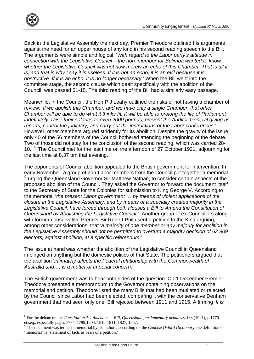

Back in the Legislative Assembly the next day, Premier Theodore outlined his arguments against the need for an upper house of any kind in his second reading speech to the Bill. The arguments were simple and logical. '*With regard to the Labor party's attitude in connection with the Legislative Council – the hon. member for Bulimba wanted to know whether the Legislative Council was not now merely an echo of this Chamber. That is all it is, and that is why I say it is useless. If it is not an echo, it is an evil because it is obstructive. If it is an echo, it is no longer necessary.*' When the Bill went into the committee stage, the second clause which dealt specifically with the abolition of the Council, was passed 51-15. The third reading of the Bill had a similarly easy passage.

Meanwhile, in the Council, the Hon P J Leahy outlined the risks of not having a chamber of review. '*If we abolish this Chamber, and we have only a single Chamber, that other Chamber will be able to do what it thinks fit. It will be able to prolong the life of Parliament indefinitely, raise their salaries to even 2000 pounds, prevent the Auditor-General giving us reports, control the judiciary, and carry out the instructions of the Labor conferences*.' However, other members argued stridently for its abolition. Despite the gravity of the issue, only 40 of the 56 members of the Council bothered attending the beginning of the debate. Two of those did not stay for the conclusion of the second reading, which was carried 28- 10. <sup>[8](#page-4-0)</sup> The Council met for the last time on the afternoon of 27 October 1921, adjourning for the last time at 8.37 pm that evening.

The opponents of Council abolition appealed to the British government for intervention. In early November, a group of non-Labor members from the Council put together a memorial <sup>[9](#page-4-1)</sup> urging the Queensland Governor Sir Matthew Nathan, to consider certain aspects of the proposed abolition of the Council. They asked the Governor to forward the document itself to the Secretary of State for the Colonies for submission to King George V. According to the memorial '*the present Labor government … by means of violent applications of the closure in the Legislative Assembly, and by means of a specially created majority in the Legislative Council, have forced through both Houses a Bill to Amend the Constitution of Queensland by Abolishing the Legislative Council.*' Another group of ex-Councillors along with former conservative Premier Sir Robert Philp sent a petition to the King arguing, among other considerations, that '*a majority of one member or any majority for abolition in the Legislative Assembly should not be permitted to overturn a majority decision of 62 909 electors, against abolition, at a specific referendum*.'

The issue at hand was whether the abolition of the Legislative Council in Queensland impinged on anything but the domestic politics of that State. The petitioners argued that the abolition '*intimately affects the Federal relationship with the Commonwealth of Australia and … is a matter of Imperial concern*.'

The British government was to hear both sides of the question. On 1 December Premier Theodore presented a memorandum to the Governor containing observations on the memorial and petition. Theodore listed the many Bills that had been mutilated or rejected by the Council since Labor had been elected, comparing it with the conservative Denham government that had seen only one Bill rejected between 1911 and 1915. Affirming '*It is* 

<span id="page-4-0"></span> $\overline{a}$ 8 For the debate on the *Constitution Act Amendment Bill, Queensland parliamentary debates* v 138 (1921), p 1770 et.seq., especially pages 1774, 1799,1804, 1810-1811, 1827, 1857.

<span id="page-4-1"></span><sup>&</sup>lt;sup>9</sup> The document was termed a memorial by its authors: according to the *Concise Oxford Dictionary* one definition of 'memorial' is 'statement of facts as basis of a petition.'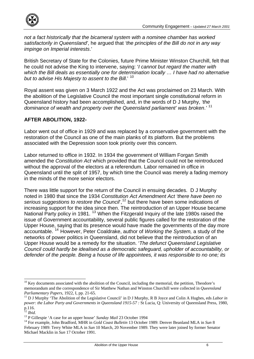

*not a fact historically that the bicameral system with a nominee chamber has worked satisfactorily in Queensland'*, he argued that *'the principles of the Bill do not in any way impinge on Imperial interests*.'

British Secretary of State for the Colonies, future Prime Minister Winston Churchill, felt that he could not advise the King to intervene, saying: '*I cannot but regard the matter with which the Bill deals as essentially one for determination locally … I have had no alternative but to advise His Majesty to assent to the Bill*.' [10](#page-5-0)

Royal assent was given on 3 March 1922 and the Act was proclaimed on 23 March. With the abolition of the Legislative Council the most important single constitutional reform in Queensland history had been accomplished, and, in the words of D J Murphy, *'the dominance of wealth and property over the Queensland parliament' was broken*.*'* [11](#page-5-1)

## **AFTER ABOLITION, 1922-**

Labor went out of office in 1929 and was replaced by a conservative government with the restoration of the Council as one of the main planks of its platform. But the problems associated with the Depression soon took priority over this concern.

Labor returned to office in 1932. In 1934 the government of William Forgan Smith amended the *Constitution Act* which provided that the Council could not be reintroduced without the approval of the electors at a referendum. Labor remained in office in Queensland until the split of 1957, by which time the Council was merely a fading memory in the minds of the more senior electors.

There was little support for the return of the Council in ensuing decades. D J Murphy noted in 1980 that since the 1934 *Constitution Act Amendment Act 'there have been no*  serious suggestions to restore the Council<sup>[12](#page-5-2)</sup> but there have been some indications of increasing support for the idea since then. The reintroduction of an Upper House became National Party policy in 1981. [13](#page-5-3) When the Fitzgerald Inquiry of the late 1980s raised the issue of Government accountability, several public figures called for the restoration of the Upper House, saying that its presence would have made the governments of the day more accountable. [14](#page-5-4) However, Peter Coaldrake, author of *Working the System,* a study of the networks of power politics in Queensland, did not believe that the reintroduction of an Upper House would be a remedy for the situation. '*The defunct Queensland Legislative Council could hardly be idealised as a democratic safeguard, upholder of accountability, or defender of the people. Being a house of life appointees, it was responsible to no one; its* 

 $\overline{a}$ 

<span id="page-5-0"></span><sup>&</sup>lt;sup>10</sup> Key documents associated with the abolition of the Council, including the memorial, the petition, Theodore's memorandum and the correspondence of Sir Matthew Nathan and Winston Churchill were collected in *Queensland Parliamentary Papers,* 1922, I, pp. 21-65.<br><sup>11</sup> D J Murphy 'The Abolition of the Legislative Council' in D J Murphy, R B Joyce and Colin A Hughes, eds *Labor in* 

<span id="page-5-1"></span>*power: the Labor Party and Governments in Queensland 1915-57 : St Lucia, Q: University of Queensland Press, 1980,*  $p.116.$ <br> $\frac{12}{12}$  Ibid.

<span id="page-5-2"></span>

<span id="page-5-4"></span>

<span id="page-5-3"></span><sup>&</sup>lt;sup>13</sup> P Gillespie 'A case for an upper house' *Sunday Mail* 23 October 1994<br><sup>14</sup> For example, John Bradford, MHR in *Gold Coast Bulletin* 13 October 1989: Denver Beanland MLA in *Sun* 8 February 1989: Terry White MLA in *Sun* 10 March, 20 November 1989. They were later joined by former Senator Michael Macklin in *Sun* 17 October 1991.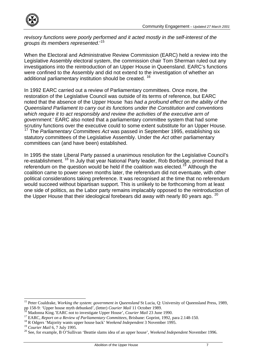

*revisory functions were poorly performed and it acted mostly in the self-interest of the groups its members represented*.'[15](#page-6-0)

When the Electoral and Administrative Review Commission (EARC) held a review into the Legislative Assembly electoral system, the commission chair Tom Sherman ruled out any investigations into the reintroduction of an Upper House in Queensland. EARC's functions were confined to the Assembly and did not extend to the investigation of whether an additional parliamentary institution should be created. [16](#page-6-1)

In 1992 EARC carried out a review of Parliamentary committees. Once more, the restoration of the Legislative Council was outside of its terms of reference, but EARC noted that the absence of the Upper House *'has had a profound effect on the ability of the Queensland Parliament to carry out its functions under the Constitution and conventions which require it to act responsibly and review the activities of the executive arm of government.*' EARC also noted that a parliamentary committee system that had some scrutiny functions over the executive could to some extent substitute for an Upper House. [17](#page-6-2) The *Parliamentary Committees Act* was passed in September 1995, establishing six statutory committees of the Legislative Assembly. Under the *Act* other parliamentary committees can (and have been) established.

In 1995 the state Liberal Party passed a unanimous resolution for the Legislative Council's re-establishment. [18](#page-6-3) In July that year National Party leader, Rob Borbidge, promised that a referendum on the question would be held if the coalition was elected.<sup>[19](#page-6-4)</sup> Although the coalition came to power seven months later, the referendum did not eventuate, with other political considerations taking preference. It was recognised at the time that no referendum would succeed without bipartisan support. This is unlikely to be forthcoming from at least one side of politics, as the Labor party remains implacably opposed to the reintroduction of the Upper House that their ideological forebears did away with nearly 80 years ago. <sup>[20](#page-6-5)</sup>

<span id="page-6-0"></span> $\overline{a}$ <sup>15</sup> Peter Coaldrake, *Working the system: government in Queensland* St Lucia, Q: University of Queensland Press, 1989, pp 158-9: 'Upper house myth debunked', (letter) Courier Mail 11 October 1989.<br><sup>16</sup> Madonna King.'EARC not to investigate Upper House', Courier Mail 23 June 1990.<br><sup>17</sup> EARC, *Report on a Review of Parliamentary Committees*,

<span id="page-6-1"></span>

<span id="page-6-3"></span><span id="page-6-2"></span>

<span id="page-6-4"></span>

<span id="page-6-5"></span><sup>&</sup>lt;sup>20</sup> See, for example, B O'Sullivan 'Beattie slams idea of an upper house', *Weekend Independent* November 1996.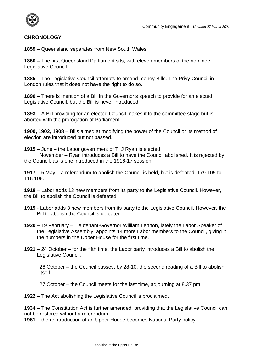

#### **CHRONOLOGY**

**1859 –** Queensland separates from New South Wales

**1860 –** The first Queensland Parliament sits, with eleven members of the nominee Legislative Council.

**1885** – The Legislative Council attempts to amend money Bills. The Privy Council in London rules that it does not have the right to do so.

**1890 –** There is mention of a Bill in the Governor's speech to provide for an elected Legislative Council, but the Bill is never introduced.

**1893 –** A Bill providing for an elected Council makes it to the committee stage but is aborted with the prorogation of Parliament.

**1900, 1902, 1908** – Bills aimed at modifying the power of the Council or its method of election are introduced but not passed.

**1915 –** June – the Labor government of T J Ryan is elected

 November – Ryan introduces a Bill to have the Council abolished. It is rejected by the Council, as is one introduced in the 1916-17 session.

**1917 –** 5 May – a referendum to abolish the Council is held, but is defeated, 179 105 to 116 196.

**1918** – Labor adds 13 new members from its party to the Legislative Council. However, the Bill to abolish the Council is defeated.

- **1919** Labor adds 3 new members from its party to the Legislative Council. However, the Bill to abolish the Council is defeated.
- **1920** 19 February Lieutenant-Governor William Lennon, lately the Labor Speaker of the Legislative Assembly, appoints 14 more Labor members to the Council, giving it the numbers in the Upper House for the first time.
- **1921** 24 October for the fifth time, the Labor party introduces a Bill to abolish the Legislative Council.

26 October – the Council passes, by 28-10, the second reading of a Bill to abolish itself

27 October – the Council meets for the last time, adjourning at 8.37 pm.

**1922 –** The Act abolishing the Legislative Council is proclaimed.

**1934 –** The Constitution Act is further amended, providing that the Legislative Council can not be restored without a referendum.

**1981 –** the reintroduction of an Upper House becomes National Party policy.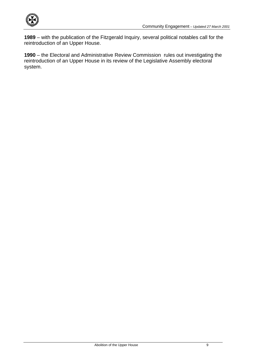

**1989** – with the publication of the Fitzgerald Inquiry, several political notables call for the reintroduction of an Upper House.

**1990** – the Electoral and Administrative Review Commission rules out investigating the reintroduction of an Upper House in its review of the Legislative Assembly electoral system.